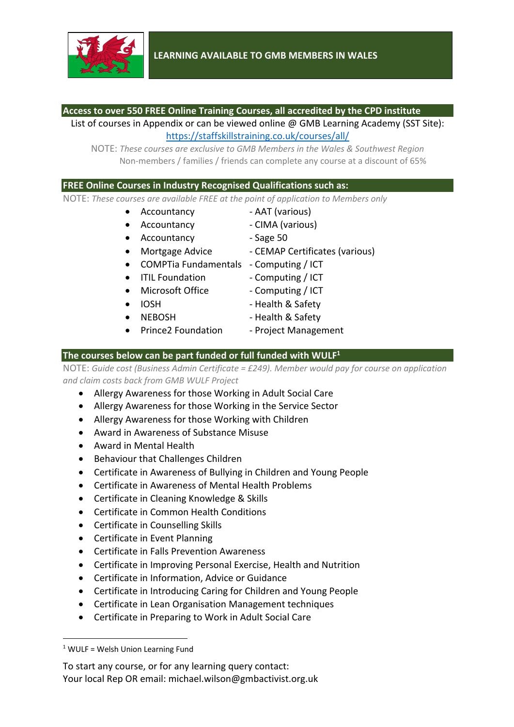

#### **Access to over 550 FREE Online Training Courses, all accredited by the CPD institute**

List of courses in Appendix or can be viewed online @ GMB Learning Academy (SST Site): https://staffskillstraining.co.uk/courses/all/

NOTE: *These courses are exclusive to GMB Members in the Wales & Southwest Region* Non-members / families / friends can complete any course at a discount of 65%

#### **FREE Online Courses in Industry Recognised Qualifications such as:**

NOTE: *These courses are available FREE at the point of application to Members only*

- Accountancy AAT (various)
- 
- Accountancy CIMA (various)
- Accountancy Sage 50
- Mortgage Advice CEMAP Certificates (various)
- COMPTia Fundamentals Computing / ICT
- ITIL Foundation Computing / ICT
- Microsoft Office Computing / ICT
- 
- 
- 
- 
- IOSH Health & Safety
- NEBOSH Health & Safety
- Prince2 Foundation Project Management

#### **The courses below can be part funded or full funded with WULF1**

NOTE: *Guide cost (Business Admin Certificate = £249). Member would pay for course on application and claim costs back from GMB WULF Project*

- Allergy Awareness for those Working in Adult Social Care
- Allergy Awareness for those Working in the Service Sector
- Allergy Awareness for those Working with Children
- Award in Awareness of Substance Misuse
- Award in Mental Health
- Behaviour that Challenges Children
- Certificate in Awareness of Bullying in Children and Young People
- Certificate in Awareness of Mental Health Problems
- Certificate in Cleaning Knowledge & Skills
- Certificate in Common Health Conditions
- Certificate in Counselling Skills
- Certificate in Event Planning
- Certificate in Falls Prevention Awareness
- Certificate in Improving Personal Exercise, Health and Nutrition
- Certificate in Information, Advice or Guidance
- Certificate in Introducing Caring for Children and Young People
- Certificate in Lean Organisation Management techniques
- Certificate in Preparing to Work in Adult Social Care

 $1$  WULF = Welsh Union Learning Fund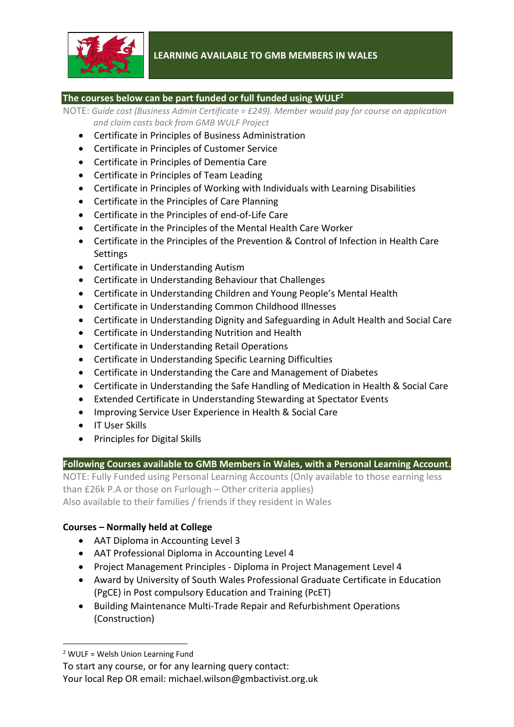

#### **The courses below can be part funded or full funded using WULF2**

NOTE: *Guide cost (Business Admin Certificate = £249). Member would pay for course on application and claim costs back from GMB WULF Project*

- Certificate in Principles of Business Administration
- Certificate in Principles of Customer Service
- Certificate in Principles of Dementia Care
- Certificate in Principles of Team Leading
- Certificate in Principles of Working with Individuals with Learning Disabilities
- Certificate in the Principles of Care Planning
- Certificate in the Principles of end-of-Life Care
- Certificate in the Principles of the Mental Health Care Worker
- Certificate in the Principles of the Prevention & Control of Infection in Health Care Settings
- Certificate in Understanding Autism
- Certificate in Understanding Behaviour that Challenges
- Certificate in Understanding Children and Young People's Mental Health
- Certificate in Understanding Common Childhood Illnesses
- Certificate in Understanding Dignity and Safeguarding in Adult Health and Social Care
- Certificate in Understanding Nutrition and Health
- Certificate in Understanding Retail Operations
- Certificate in Understanding Specific Learning Difficulties
- Certificate in Understanding the Care and Management of Diabetes
- Certificate in Understanding the Safe Handling of Medication in Health & Social Care
- Extended Certificate in Understanding Stewarding at Spectator Events
- Improving Service User Experience in Health & Social Care
- IT User Skills
- Principles for Digital Skills

#### **Following Courses available to GMB Members in Wales, with a Personal Learning Account.**

NOTE: Fully Funded using Personal Learning Accounts (Only available to those earning less than £26k P.A or those on Furlough – Other criteria applies) Also available to their families / friends if they resident in Wales

#### **Courses – Normally held at College**

- AAT Diploma in Accounting Level 3
- AAT Professional Diploma in Accounting Level 4
- Project Management Principles Diploma in Project Management Level 4
- Award by University of South Wales Professional Graduate Certificate in Education (PgCE) in Post compulsory Education and Training (PcET)
- Building Maintenance Multi-Trade Repair and Refurbishment Operations (Construction)

<sup>2</sup> WULF = Welsh Union Learning Fund

To start any course, or for any learning query contact:

Your local Rep OR email: michael.wilson@gmbactivist.org.uk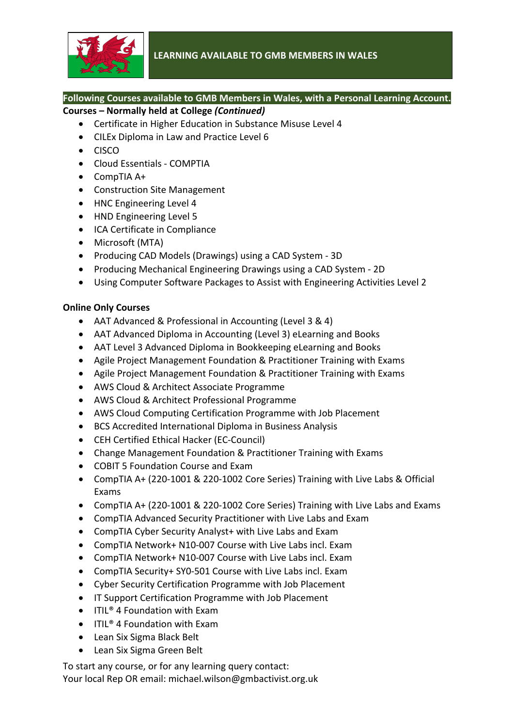

# **Following Courses available to GMB Members in Wales, with a Personal Learning Account.**

# **Courses – Normally held at College** *(Continued)*

- Certificate in Higher Education in Substance Misuse Level 4
- CILEx Diploma in Law and Practice Level 6
- CISCO
- Cloud Essentials COMPTIA
- CompTIA A+
- Construction Site Management
- HNC Engineering Level 4
- HND Engineering Level 5
- ICA Certificate in Compliance
- Microsoft (MTA)
- Producing CAD Models (Drawings) using a CAD System 3D
- Producing Mechanical Engineering Drawings using a CAD System 2D
- Using Computer Software Packages to Assist with Engineering Activities Level 2

#### **Online Only Courses**

- AAT Advanced & Professional in Accounting (Level 3 & 4)
- AAT Advanced Diploma in Accounting (Level 3) eLearning and Books
- AAT Level 3 Advanced Diploma in Bookkeeping eLearning and Books
- Agile Project Management Foundation & Practitioner Training with Exams
- Agile Project Management Foundation & Practitioner Training with Exams
- AWS Cloud & Architect Associate Programme
- AWS Cloud & Architect Professional Programme
- AWS Cloud Computing Certification Programme with Job Placement
- BCS Accredited International Diploma in Business Analysis
- CEH Certified Ethical Hacker (EC-Council)
- Change Management Foundation & Practitioner Training with Exams
- COBIT 5 Foundation Course and Exam
- CompTIA A+ (220-1001 & 220-1002 Core Series) Training with Live Labs & Official Exams
- CompTIA A+ (220-1001 & 220-1002 Core Series) Training with Live Labs and Exams
- CompTIA Advanced Security Practitioner with Live Labs and Exam
- CompTIA Cyber Security Analyst+ with Live Labs and Exam
- CompTIA Network+ N10-007 Course with Live Labs incl. Exam
- CompTIA Network+ N10-007 Course with Live Labs incl. Exam
- CompTIA Security+ SY0-501 Course with Live Labs incl. Exam
- Cyber Security Certification Programme with Job Placement
- IT Support Certification Programme with Job Placement
- ITIL<sup>®</sup> 4 Foundation with Exam
- ITIL<sup>®</sup> 4 Foundation with Exam
- Lean Six Sigma Black Belt
- Lean Six Sigma Green Belt

To start any course, or for any learning query contact: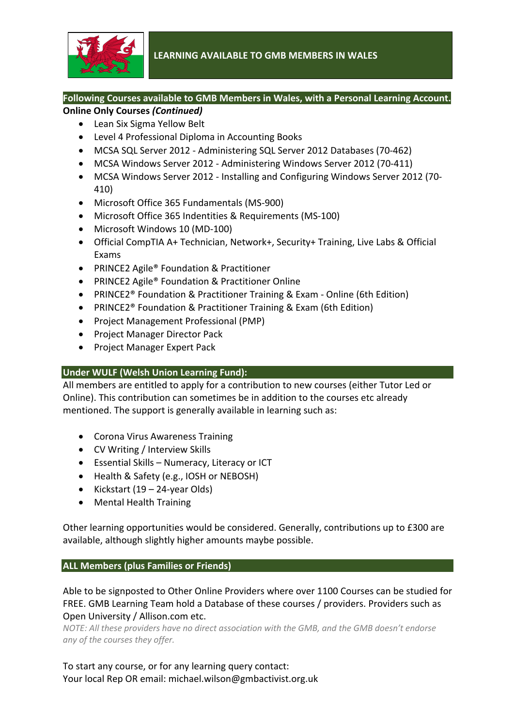

#### **Following Courses available to GMB Members in Wales, with a Personal Learning Account. Online Only Courses** *(Continued)*

- Lean Six Sigma Yellow Belt
- Level 4 Professional Diploma in Accounting Books
- MCSA SQL Server 2012 Administering SQL Server 2012 Databases (70-462)
- MCSA Windows Server 2012 Administering Windows Server 2012 (70-411)
- MCSA Windows Server 2012 Installing and Configuring Windows Server 2012 (70- 410)
- Microsoft Office 365 Fundamentals (MS-900)
- Microsoft Office 365 Indentities & Requirements (MS-100)
- Microsoft Windows 10 (MD-100)
- Official CompTIA A+ Technician, Network+, Security+ Training, Live Labs & Official Exams
- PRINCE2 Agile<sup>®</sup> Foundation & Practitioner
- PRINCE2 Agile<sup>®</sup> Foundation & Practitioner Online
- PRINCE2® Foundation & Practitioner Training & Exam Online (6th Edition)
- PRINCE2® Foundation & Practitioner Training & Exam (6th Edition)
- Project Management Professional (PMP)
- Project Manager Director Pack
- Project Manager Expert Pack

#### **Under WULF (Welsh Union Learning Fund):**

All members are entitled to apply for a contribution to new courses (either Tutor Led or Online). This contribution can sometimes be in addition to the courses etc already mentioned. The support is generally available in learning such as:

- Corona Virus Awareness Training
- CV Writing / Interview Skills
- Essential Skills Numeracy, Literacy or ICT
- Health & Safety (e.g., IOSH or NEBOSH)
- Kickstart (19 24-year Olds)
- Mental Health Training

Other learning opportunities would be considered. Generally, contributions up to £300 are available, although slightly higher amounts maybe possible.

#### **ALL Members (plus Families or Friends)**

Able to be signposted to Other Online Providers where over 1100 Courses can be studied for FREE. GMB Learning Team hold a Database of these courses / providers. Providers such as Open University / Allison.com etc.

*NOTE: All these providers have no direct association with the GMB, and the GMB doesn't endorse any of the courses they offer.*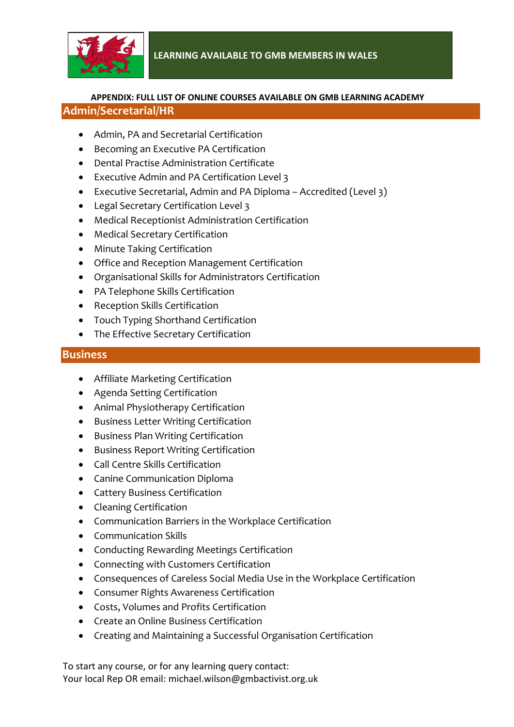

## **APPENDIX: FULL LIST OF ONLINE COURSES AVAILABLE ON GMB LEARNING ACADEMY Admin/Secretarial/HR**

- Admin, PA and Secretarial Certification
- Becoming an Executive PA Certification
- Dental Practise Administration Certificate
- Executive Admin and PA Certification Level 3
- Executive Secretarial, Admin and PA Diploma Accredited (Level 3)
- Legal Secretary Certification Level 3
- Medical Receptionist Administration Certification
- Medical Secretary Certification
- Minute Taking Certification
- Office and Reception Management Certification
- Organisational Skills for Administrators Certification
- PA Telephone Skills Certification
- Reception Skills Certification
- Touch Typing Shorthand Certification
- The Effective Secretary Certification

#### **Business**

- Affiliate Marketing Certification
- Agenda Setting Certification
- Animal Physiotherapy Certification
- Business Letter Writing Certification
- Business Plan Writing Certification
- Business Report Writing Certification
- Call Centre Skills Certification
- Canine Communication Diploma
- Cattery Business Certification
- Cleaning Certification
- Communication Barriers in the Workplace Certification
- Communication Skills
- Conducting Rewarding Meetings Certification
- Connecting with Customers Certification
- Consequences of Careless Social Media Use in the Workplace Certification
- Consumer Rights Awareness Certification
- Costs, Volumes and Profits Certification
- Create an Online Business Certification
- Creating and Maintaining a Successful Organisation Certification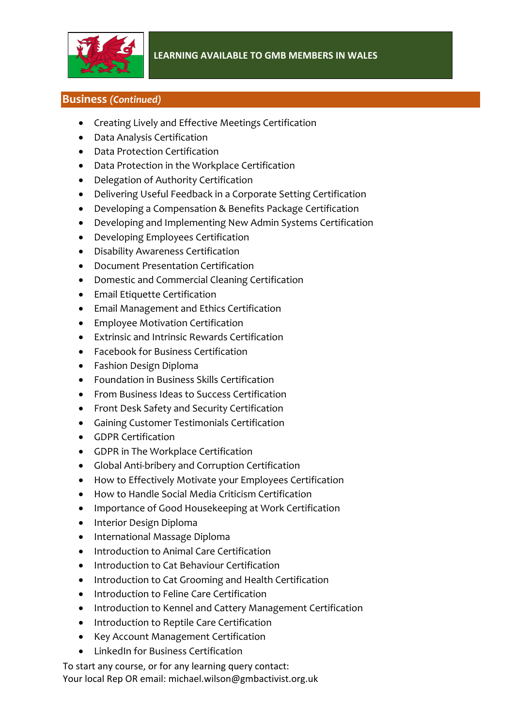

## **Business** *(Continued)*

- Creating Lively and Effective Meetings Certification
- Data Analysis Certification
- Data Protection Certification
- Data Protection in the Workplace Certification
- Delegation of Authority Certification
- Delivering Useful Feedback in a Corporate Setting Certification
- Developing a Compensation & Benefits Package Certification
- Developing and Implementing New Admin Systems Certification
- Developing Employees Certification
- Disability Awareness Certification
- Document Presentation Certification
- Domestic and Commercial Cleaning Certification
- Email Etiquette Certification
- Email Management and Ethics Certification
- Employee Motivation Certification
- Extrinsic and Intrinsic Rewards Certification
- Facebook for Business Certification
- Fashion Design Diploma
- Foundation in Business Skills Certification
- From Business Ideas to Success Certification
- Front Desk Safety and Security Certification
- Gaining Customer Testimonials Certification
- GDPR Certification
- GDPR in The Workplace Certification
- Global Anti-bribery and Corruption Certification
- How to Effectively Motivate your Employees Certification
- How to Handle Social Media Criticism Certification
- Importance of Good Housekeeping at Work Certification
- Interior Design Diploma
- International Massage Diploma
- Introduction to Animal Care Certification
- Introduction to Cat Behaviour Certification
- Introduction to Cat Grooming and Health Certification
- Introduction to Feline Care Certification
- Introduction to Kennel and Cattery Management Certification
- Introduction to Reptile Care Certification
- Key Account Management Certification
- LinkedIn for Business Certification

To start any course, or for any learning query contact: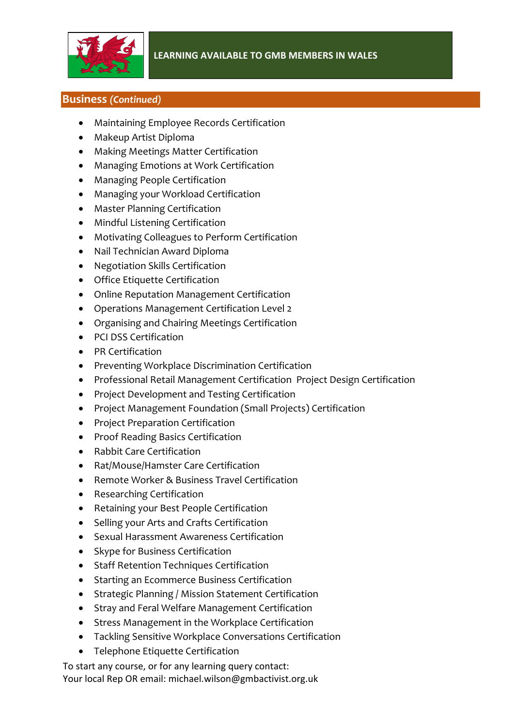

## **Business** *(Continued)*

- Maintaining Employee Records Certification
- Makeup Artist Diploma
- Making Meetings Matter Certification
- Managing Emotions at Work Certification
- Managing People Certification
- Managing your Workload Certification
- Master Planning Certification
- Mindful Listening Certification
- Motivating Colleagues to Perform Certification
- Nail Technician Award Diploma
- Negotiation Skills Certification
- Office Etiquette Certification
- Online Reputation Management Certification
- Operations Management Certification Level 2
- Organising and Chairing Meetings Certification
- PCI DSS Certification
- PR Certification
- Preventing Workplace Discrimination Certification
- Professional Retail Management Certification Project Design Certification
- Project Development and Testing Certification
- Project Management Foundation (Small Projects) Certification
- Project Preparation Certification
- Proof Reading Basics Certification
- Rabbit Care Certification
- Rat/Mouse/Hamster Care Certification
- Remote Worker & Business Travel Certification
- Researching Certification
- Retaining your Best People Certification
- Selling your Arts and Crafts Certification
- Sexual Harassment Awareness Certification
- Skype for Business Certification
- Staff Retention Techniques Certification
- Starting an Ecommerce Business Certification
- Strategic Planning / Mission Statement Certification
- Stray and Feral Welfare Management Certification
- Stress Management in the Workplace Certification
- Tackling Sensitive Workplace Conversations Certification
- Telephone Etiquette Certification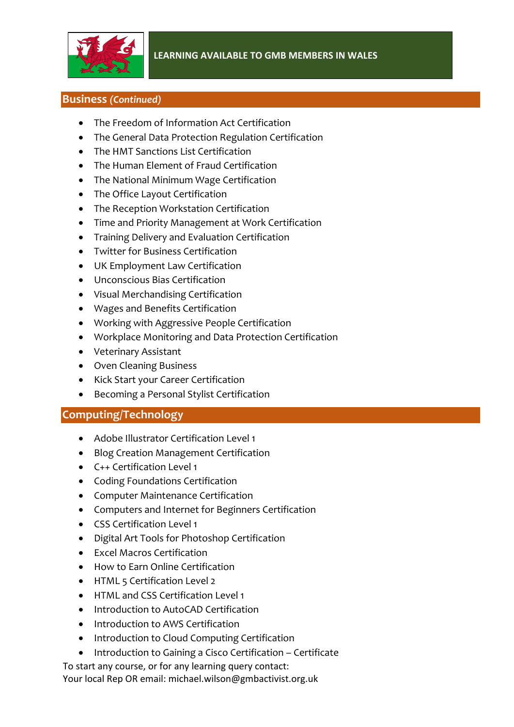

## **Business** *(Continued)*

- The Freedom of Information Act Certification
- The General Data Protection Regulation Certification
- The HMT Sanctions List Certification
- The Human Element of Fraud Certification
- The National Minimum Wage Certification
- The Office Layout Certification
- The Reception Workstation Certification
- Time and Priority Management at Work Certification
- Training Delivery and Evaluation Certification
- Twitter for Business Certification
- UK Employment Law Certification
- Unconscious Bias Certification
- Visual Merchandising Certification
- Wages and Benefits Certification
- Working with Aggressive People Certification
- Workplace Monitoring and Data Protection Certification
- Veterinary Assistant
- Oven Cleaning Business
- Kick Start your Career Certification
- Becoming a Personal Stylist Certification

# **Computing/Technology**

- Adobe Illustrator Certification Level 1
- Blog Creation Management Certification
- C++ Certification Level 1
- Coding Foundations Certification
- Computer Maintenance Certification
- Computers and Internet for Beginners Certification
- CSS Certification Level 1
- Digital Art Tools for Photoshop Certification
- Excel Macros Certification
- How to Earn Online Certification
- HTML 5 Certification Level 2
- HTML and CSS Certification Level 1
- Introduction to AutoCAD Certification
- Introduction to AWS Certification
- Introduction to Cloud Computing Certification
- Introduction to Gaining a Cisco Certification Certificate

To start any course, or for any learning query contact: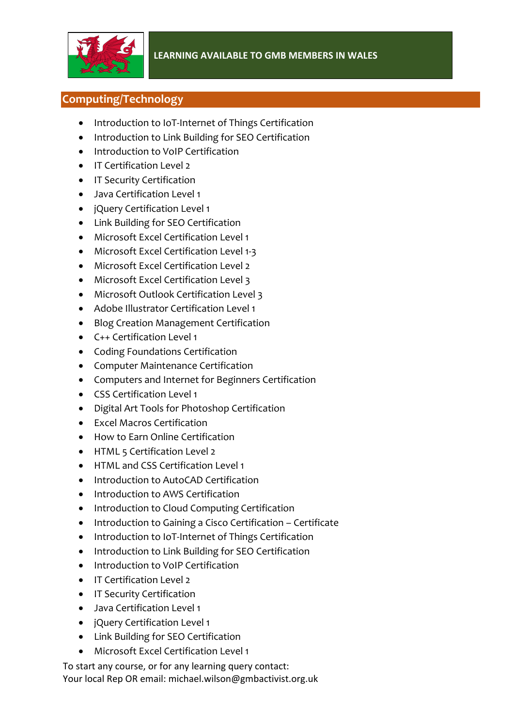

# **Computing/Technology**

- Introduction to IoT-Internet of Things Certification
- Introduction to Link Building for SEO Certification
- Introduction to VoIP Certification
- IT Certification Level 2
- IT Security Certification
- Java Certification Level 1
- jQuery Certification Level 1
- Link Building for SEO Certification
- Microsoft Excel Certification Level 1
- Microsoft Excel Certification Level 1-3
- Microsoft Excel Certification Level 2
- Microsoft Excel Certification Level 3
- Microsoft Outlook Certification Level 3
- Adobe Illustrator Certification Level 1
- Blog Creation Management Certification
- C++ Certification Level 1
- Coding Foundations Certification
- Computer Maintenance Certification
- Computers and Internet for Beginners Certification
- CSS Certification Level 1
- Digital Art Tools for Photoshop Certification
- Excel Macros Certification
- How to Earn Online Certification
- HTML 5 Certification Level 2
- HTML and CSS Certification Level 1
- Introduction to AutoCAD Certification
- Introduction to AWS Certification
- Introduction to Cloud Computing Certification
- Introduction to Gaining a Cisco Certification Certificate
- Introduction to IoT-Internet of Things Certification
- Introduction to Link Building for SEO Certification
- Introduction to VoIP Certification
- IT Certification Level 2
- IT Security Certification
- Java Certification Level 1
- jQuery Certification Level 1
- Link Building for SEO Certification
- Microsoft Excel Certification Level 1

To start any course, or for any learning query contact: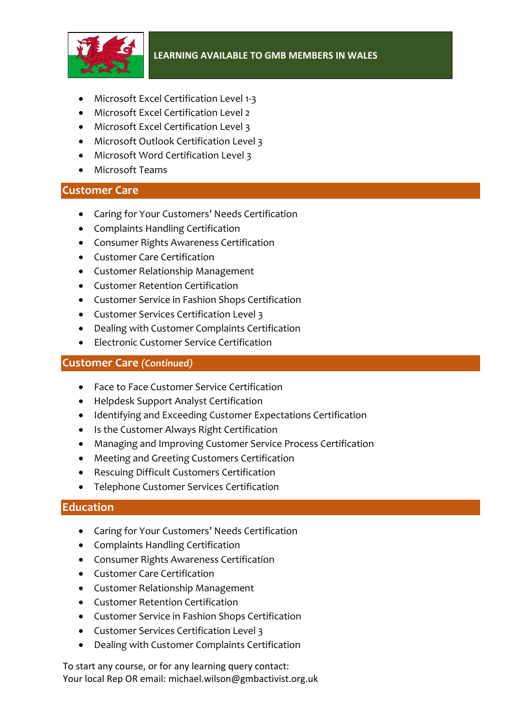

- Microsoft Excel Certification Level 1-3
- Microsoft Excel Certification Level 2
- Microsoft Excel Certification Level 3
- Microsoft Outlook Certification Level 3
- Microsoft Word Certification Level 3
- Microsoft Teams

# **Customer Care**

- Caring for Your Customers' Needs Certification
- Complaints Handling Certification
- Consumer Rights Awareness Certification
- Customer Care Certification
- Customer Relationship Management
- Customer Retention Certification
- Customer Service in Fashion Shops Certification
- Customer Services Certification Level 3
- Dealing with Customer Complaints Certification
- Electronic Customer Service Certification

## **Customer Care** *(Continued)*

- Face to Face Customer Service Certification
- Helpdesk Support Analyst Certification
- Identifying and Exceeding Customer Expectations Certification
- Is the Customer Always Right Certification
- Managing and Improving Customer Service Process Certification
- Meeting and Greeting Customers Certification
- Rescuing Difficult Customers Certification
- Telephone Customer Services Certification

# **Education**

- Caring for Your Customers' Needs Certification
- Complaints Handling Certification
- Consumer Rights Awareness Certification
- Customer Care Certification
- Customer Relationship Management
- Customer Retention Certification
- Customer Service in Fashion Shops Certification
- Customer Services Certification Level 3
- Dealing with Customer Complaints Certification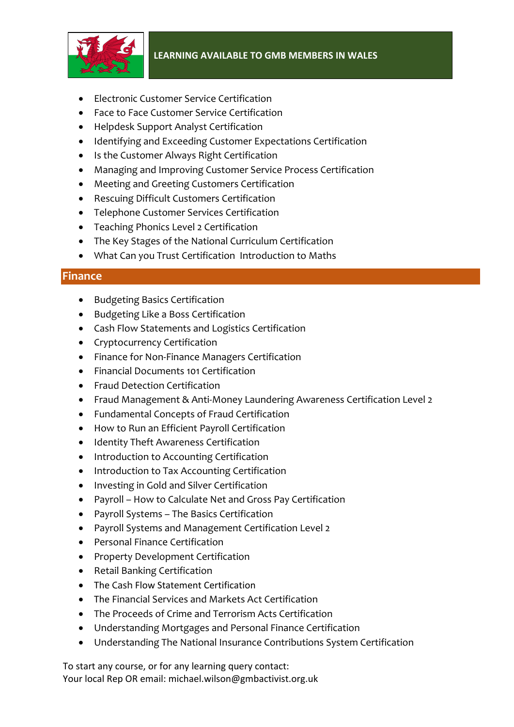

- Electronic Customer Service Certification
- Face to Face Customer Service Certification
- Helpdesk Support Analyst Certification
- Identifying and Exceeding Customer Expectations Certification
- Is the Customer Always Right Certification
- Managing and Improving Customer Service Process Certification
- Meeting and Greeting Customers Certification
- Rescuing Difficult Customers Certification
- Telephone Customer Services Certification
- Teaching Phonics Level 2 Certification
- The Key Stages of the National Curriculum Certification
- What Can you Trust Certification Introduction to Maths

#### **Finance**

- Budgeting Basics Certification
- Budgeting Like a Boss Certification
- Cash Flow Statements and Logistics Certification
- Cryptocurrency Certification
- Finance for Non-Finance Managers Certification
- Financial Documents 101 Certification
- Fraud Detection Certification
- Fraud Management & Anti-Money Laundering Awareness Certification Level 2
- Fundamental Concepts of Fraud Certification
- How to Run an Efficient Payroll Certification
- Identity Theft Awareness Certification
- Introduction to Accounting Certification
- Introduction to Tax Accounting Certification
- Investing in Gold and Silver Certification
- Payroll How to Calculate Net and Gross Pay Certification
- Payroll Systems The Basics Certification
- Payroll Systems and Management Certification Level 2
- Personal Finance Certification
- Property Development Certification
- Retail Banking Certification
- The Cash Flow Statement Certification
- The Financial Services and Markets Act Certification
- The Proceeds of Crime and Terrorism Acts Certification
- Understanding Mortgages and Personal Finance Certification
- Understanding The National Insurance Contributions System Certification

To start any course, or for any learning query contact: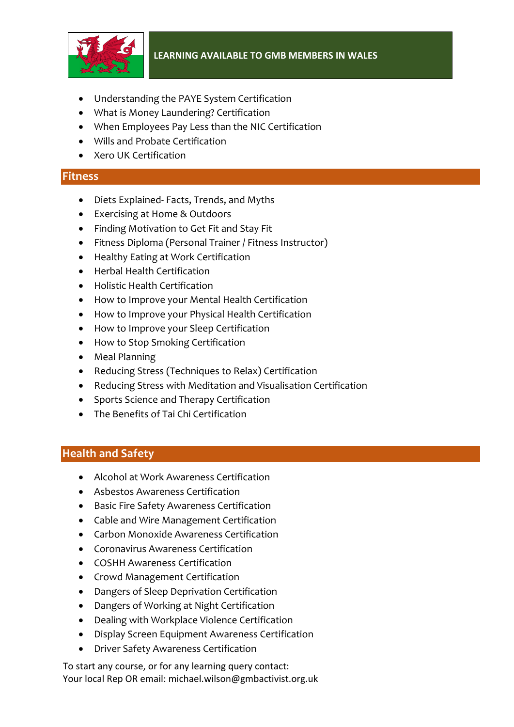

- Understanding the PAYE System Certification
- What is Money Laundering? Certification
- When Employees Pay Less than the NIC Certification
- Wills and Probate Certification
- Xero UK Certification

#### **Fitness**

- Diets Explained- Facts, Trends, and Myths
- Exercising at Home & Outdoors
- Finding Motivation to Get Fit and Stay Fit
- Fitness Diploma (Personal Trainer / Fitness Instructor)
- Healthy Eating at Work Certification
- Herbal Health Certification
- Holistic Health Certification
- How to Improve your Mental Health Certification
- How to Improve your Physical Health Certification
- How to Improve your Sleep Certification
- How to Stop Smoking Certification
- Meal Planning
- Reducing Stress (Techniques to Relax) Certification
- Reducing Stress with Meditation and Visualisation Certification
- Sports Science and Therapy Certification
- The Benefits of Tai Chi Certification

# **Health and Safety**

- Alcohol at Work Awareness Certification
- Asbestos Awareness Certification
- Basic Fire Safety Awareness Certification
- Cable and Wire Management Certification
- Carbon Monoxide Awareness Certification
- Coronavirus Awareness Certification
- COSHH Awareness Certification
- Crowd Management Certification
- Dangers of Sleep Deprivation Certification
- Dangers of Working at Night Certification
- Dealing with Workplace Violence Certification
- Display Screen Equipment Awareness Certification
- Driver Safety Awareness Certification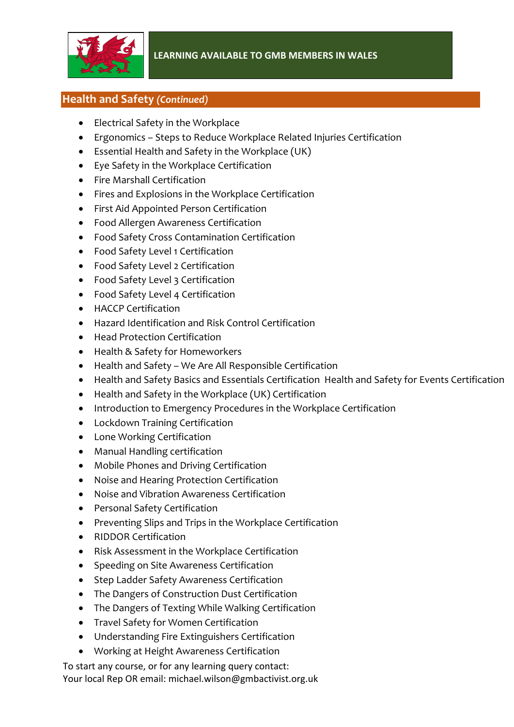

# **Health and Safety** *(Continued)*

- Electrical Safety in the Workplace
- Ergonomics Steps to Reduce Workplace Related Injuries Certification
- Essential Health and Safety in the Workplace (UK)
- Eye Safety in the Workplace Certification
- Fire Marshall Certification
- Fires and Explosions in the Workplace Certification
- First Aid Appointed Person Certification
- Food Allergen Awareness Certification
- Food Safety Cross Contamination Certification
- Food Safety Level 1 Certification
- Food Safety Level 2 Certification
- Food Safety Level 3 Certification
- Food Safety Level 4 Certification
- HACCP Certification
- Hazard Identification and Risk Control Certification
- Head Protection Certification
- Health & Safety for Homeworkers
- Health and Safety We Are All Responsible Certification
- Health and Safety Basics and Essentials Certification Health and Safety for Events Certification
- Health and Safety in the Workplace (UK) Certification
- Introduction to Emergency Procedures in the Workplace Certification
- Lockdown Training Certification
- Lone Working Certification
- Manual Handling certification
- Mobile Phones and Driving Certification
- Noise and Hearing Protection Certification
- Noise and Vibration Awareness Certification
- Personal Safety Certification
- Preventing Slips and Trips in the Workplace Certification
- RIDDOR Certification
- Risk Assessment in the Workplace Certification
- Speeding on Site Awareness Certification
- Step Ladder Safety Awareness Certification
- The Dangers of Construction Dust Certification
- The Dangers of Texting While Walking Certification
- Travel Safety for Women Certification
- Understanding Fire Extinguishers Certification
- Working at Height Awareness Certification

To start any course, or for any learning query contact: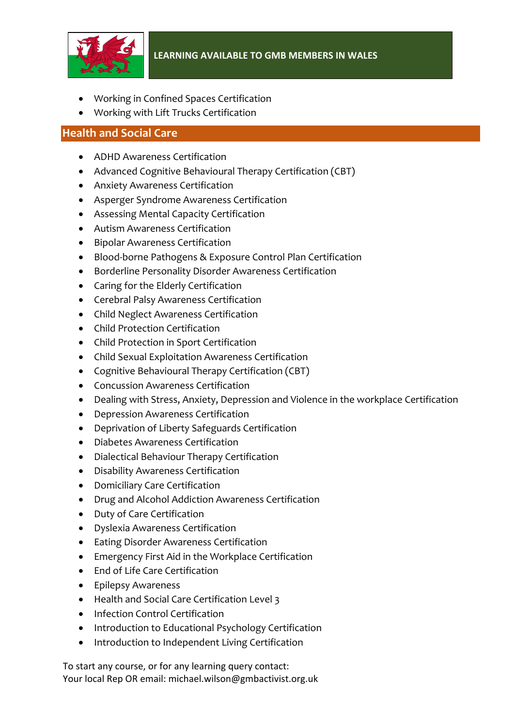

- Working in Confined Spaces Certification
- Working with Lift Trucks Certification

## **Health and Social Care**

- ADHD Awareness Certification
- Advanced Cognitive Behavioural Therapy Certification (CBT)
- Anxiety Awareness Certification
- Asperger Syndrome Awareness Certification
- Assessing Mental Capacity Certification
- Autism Awareness Certification
- Bipolar Awareness Certification
- Blood-borne Pathogens & Exposure Control Plan Certification
- Borderline Personality Disorder Awareness Certification
- Caring for the Elderly Certification
- Cerebral Palsy Awareness Certification
- Child Neglect Awareness Certification
- Child Protection Certification
- Child Protection in Sport Certification
- Child Sexual Exploitation Awareness Certification
- Cognitive Behavioural Therapy Certification (CBT)
- Concussion Awareness Certification
- Dealing with Stress, Anxiety, Depression and Violence in the workplace Certification
- Depression Awareness Certification
- Deprivation of Liberty Safeguards Certification
- Diabetes Awareness Certification
- Dialectical Behaviour Therapy Certification
- Disability Awareness Certification
- Domiciliary Care Certification
- Drug and Alcohol Addiction Awareness Certification
- Duty of Care Certification
- Dyslexia Awareness Certification
- Eating Disorder Awareness Certification
- Emergency First Aid in the Workplace Certification
- End of Life Care Certification
- Epilepsy Awareness
- Health and Social Care Certification Level 3
- Infection Control Certification
- Introduction to Educational Psychology Certification
- Introduction to Independent Living Certification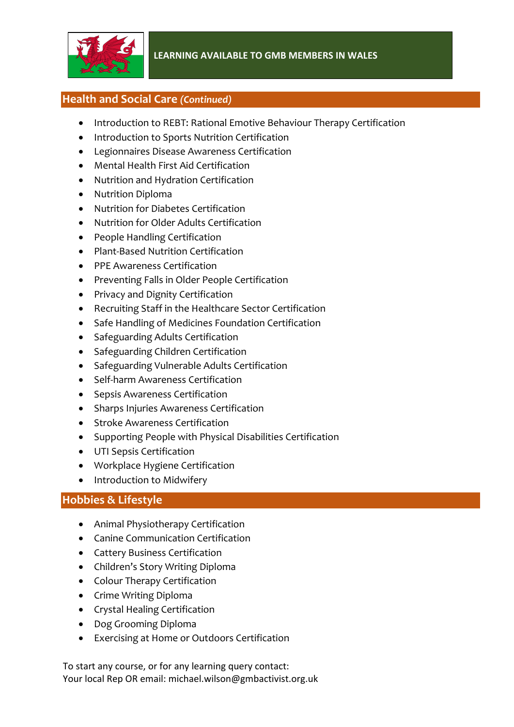

# **Health and Social Care** *(Continued)*

- Introduction to REBT: Rational Emotive Behaviour Therapy Certification
- Introduction to Sports Nutrition Certification
- Legionnaires Disease Awareness Certification
- Mental Health First Aid Certification
- Nutrition and Hydration Certification
- Nutrition Diploma
- Nutrition for Diabetes Certification
- Nutrition for Older Adults Certification
- People Handling Certification
- Plant-Based Nutrition Certification
- PPE Awareness Certification
- Preventing Falls in Older People Certification
- Privacy and Dignity Certification
- Recruiting Staff in the Healthcare Sector Certification
- Safe Handling of Medicines Foundation Certification
- Safeguarding Adults Certification
- Safeguarding Children Certification
- Safeguarding Vulnerable Adults Certification
- Self-harm Awareness Certification
- Sepsis Awareness Certification
- Sharps Injuries Awareness Certification
- Stroke Awareness Certification
- Supporting People with Physical Disabilities Certification
- UTI Sepsis Certification
- Workplace Hygiene Certification
- Introduction to Midwifery

# **Hobbies & Lifestyle**

- Animal Physiotherapy Certification
- Canine Communication Certification
- Cattery Business Certification
- Children's Story Writing Diploma
- Colour Therapy Certification
- Crime Writing Diploma
- Crystal Healing Certification
- Dog Grooming Diploma
- Exercising at Home or Outdoors Certification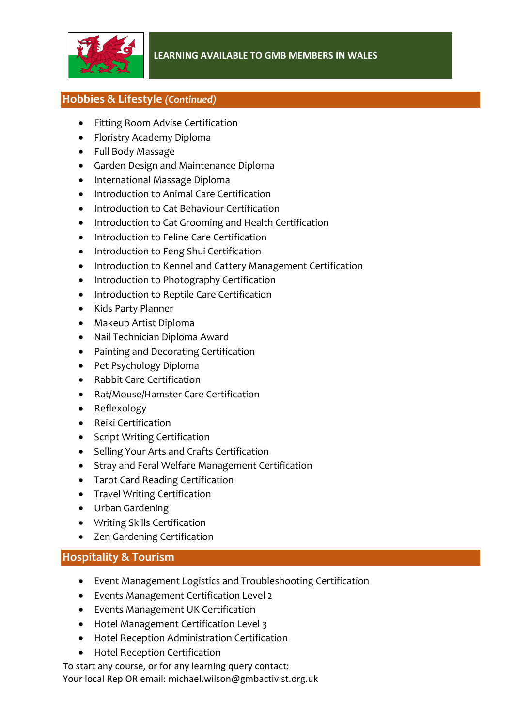

# **Hobbies & Lifestyle** *(Continued)*

- Fitting Room Advise Certification
- Floristry Academy Diploma
- Full Body Massage
- Garden Design and Maintenance Diploma
- International Massage Diploma
- Introduction to Animal Care Certification
- Introduction to Cat Behaviour Certification
- Introduction to Cat Grooming and Health Certification
- Introduction to Feline Care Certification
- Introduction to Feng Shui Certification
- Introduction to Kennel and Cattery Management Certification
- Introduction to Photography Certification
- Introduction to Reptile Care Certification
- Kids Party Planner
- Makeup Artist Diploma
- Nail Technician Diploma Award
- Painting and Decorating Certification
- Pet Psychology Diploma
- Rabbit Care Certification
- Rat/Mouse/Hamster Care Certification
- Reflexology
- Reiki Certification
- Script Writing Certification
- Selling Your Arts and Crafts Certification
- Stray and Feral Welfare Management Certification
- Tarot Card Reading Certification
- Travel Writing Certification
- Urban Gardening
- Writing Skills Certification
- Zen Gardening Certification

# **Hospitality & Tourism**

- Event Management Logistics and Troubleshooting Certification
- Events Management Certification Level 2
- Events Management UK Certification
- Hotel Management Certification Level 3
- Hotel Reception Administration Certification
- Hotel Reception Certification

To start any course, or for any learning query contact: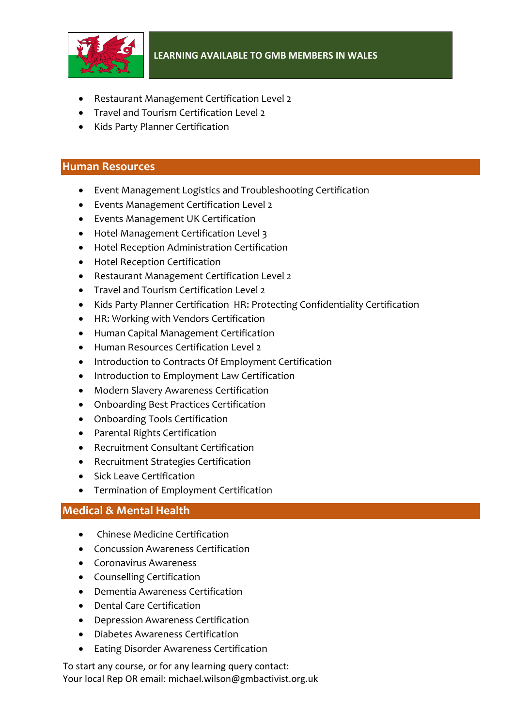

- Restaurant Management Certification Level 2
- Travel and Tourism Certification Level 2
- Kids Party Planner Certification

#### **Human Resources**

- Event Management Logistics and Troubleshooting Certification
- Events Management Certification Level 2
- Events Management UK Certification
- Hotel Management Certification Level 3
- Hotel Reception Administration Certification
- Hotel Reception Certification
- Restaurant Management Certification Level 2
- Travel and Tourism Certification Level 2
- Kids Party Planner Certification HR: Protecting Confidentiality Certification
- HR: Working with Vendors Certification
- Human Capital Management Certification
- Human Resources Certification Level 2
- Introduction to Contracts Of Employment Certification
- Introduction to Employment Law Certification
- Modern Slavery Awareness Certification
- Onboarding Best Practices Certification
- Onboarding Tools Certification
- Parental Rights Certification
- Recruitment Consultant Certification
- Recruitment Strategies Certification
- Sick Leave Certification
- Termination of Employment Certification

# **Medical & Mental Health**

- Chinese Medicine Certification
- Concussion Awareness Certification
- Coronavirus Awareness
- Counselling Certification
- Dementia Awareness Certification
- Dental Care Certification
- Depression Awareness Certification
- Diabetes Awareness Certification
- Eating Disorder Awareness Certification

To start any course, or for any learning query contact: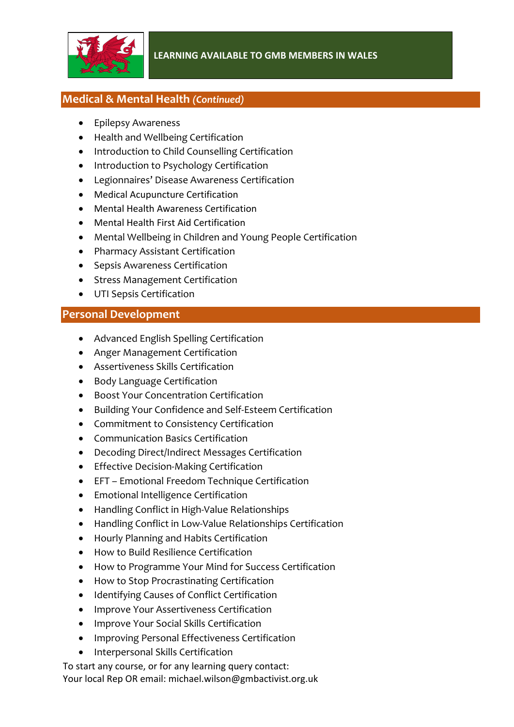

# **Medical & Mental Health** *(Continued)*

- Epilepsy Awareness
- Health and Wellbeing Certification
- Introduction to Child Counselling Certification
- Introduction to Psychology Certification
- Legionnaires' Disease Awareness Certification
- Medical Acupuncture Certification
- Mental Health Awareness Certification
- Mental Health First Aid Certification
- Mental Wellbeing in Children and Young People Certification
- Pharmacy Assistant Certification
- Sepsis Awareness Certification
- Stress Management Certification
- UTI Sepsis Certification

## **Personal Development**

- Advanced English Spelling Certification
- Anger Management Certification
- Assertiveness Skills Certification
- Body Language Certification
- Boost Your Concentration Certification
- Building Your Confidence and Self-Esteem Certification
- Commitment to Consistency Certification
- Communication Basics Certification
- Decoding Direct/Indirect Messages Certification
- Effective Decision-Making Certification
- EFT Emotional Freedom Technique Certification
- Emotional Intelligence Certification
- Handling Conflict in High-Value Relationships
- Handling Conflict in Low-Value Relationships Certification
- Hourly Planning and Habits Certification
- How to Build Resilience Certification
- How to Programme Your Mind for Success Certification
- How to Stop Procrastinating Certification
- Identifying Causes of Conflict Certification
- Improve Your Assertiveness Certification
- Improve Your Social Skills Certification
- Improving Personal Effectiveness Certification
- Interpersonal Skills Certification

To start any course, or for any learning query contact: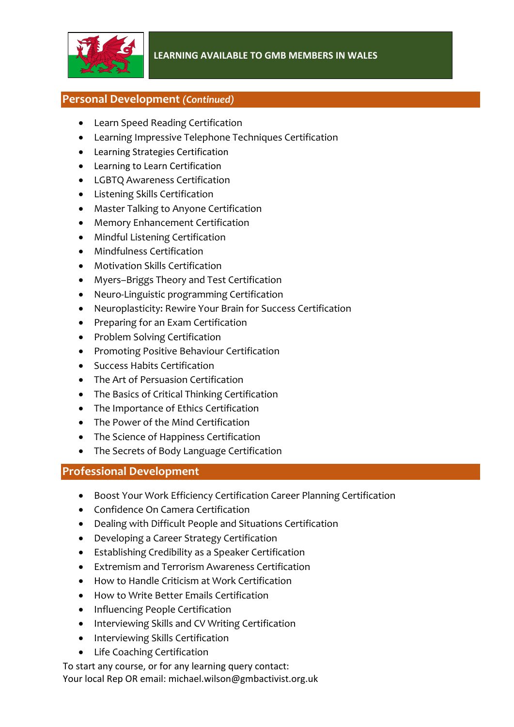

# **Personal Development** *(Continued)*

- Learn Speed Reading Certification
- Learning Impressive Telephone Techniques Certification
- Learning Strategies Certification
- Learning to Learn Certification
- LGBTQ Awareness Certification
- Listening Skills Certification
- Master Talking to Anyone Certification
- Memory Enhancement Certification
- Mindful Listening Certification
- Mindfulness Certification
- Motivation Skills Certification
- Myers–Briggs Theory and Test Certification
- Neuro-Linguistic programming Certification
- Neuroplasticity: Rewire Your Brain for Success Certification
- Preparing for an Exam Certification
- Problem Solving Certification
- Promoting Positive Behaviour Certification
- Success Habits Certification
- The Art of Persuasion Certification
- The Basics of Critical Thinking Certification
- The Importance of Ethics Certification
- The Power of the Mind Certification
- The Science of Happiness Certification
- The Secrets of Body Language Certification

# **Professional Development**

- Boost Your Work Efficiency Certification Career Planning Certification
- Confidence On Camera Certification
- Dealing with Difficult People and Situations Certification
- Developing a Career Strategy Certification
- Establishing Credibility as a Speaker Certification
- Extremism and Terrorism Awareness Certification
- How to Handle Criticism at Work Certification
- How to Write Better Emails Certification
- Influencing People Certification
- Interviewing Skills and CV Writing Certification
- Interviewing Skills Certification
- Life Coaching Certification
- To start any course, or for any learning query contact: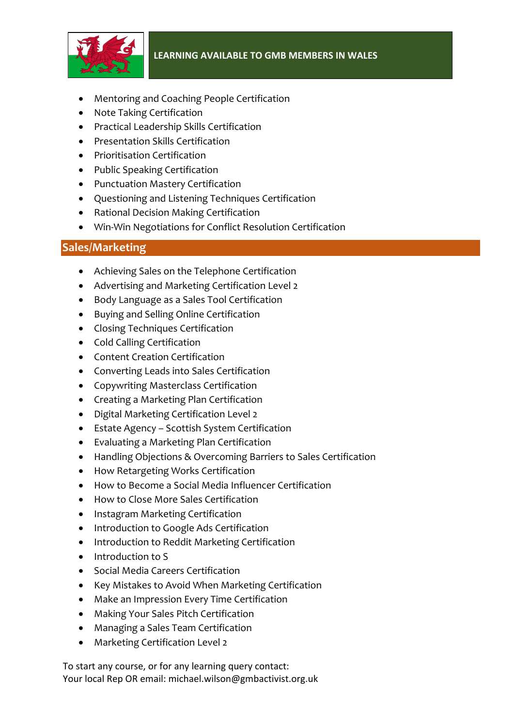

- Mentoring and Coaching People Certification
- Note Taking Certification
- Practical Leadership Skills Certification
- Presentation Skills Certification
- Prioritisation Certification
- Public Speaking Certification
- Punctuation Mastery Certification
- Questioning and Listening Techniques Certification
- Rational Decision Making Certification
- Win-Win Negotiations for Conflict Resolution Certification

# **Sales/Marketing**

- Achieving Sales on the Telephone Certification
- Advertising and Marketing Certification Level 2
- Body Language as a Sales Tool Certification
- Buying and Selling Online Certification
- Closing Techniques Certification
- Cold Calling Certification
- Content Creation Certification
- Converting Leads into Sales Certification
- Copywriting Masterclass Certification
- Creating a Marketing Plan Certification
- Digital Marketing Certification Level 2
- Estate Agency Scottish System Certification
- Evaluating a Marketing Plan Certification
- Handling Objections & Overcoming Barriers to Sales Certification
- How Retargeting Works Certification
- How to Become a Social Media Influencer Certification
- How to Close More Sales Certification
- Instagram Marketing Certification
- Introduction to Google Ads Certification
- Introduction to Reddit Marketing Certification
- Introduction to S
- Social Media Careers Certification
- Key Mistakes to Avoid When Marketing Certification
- Make an Impression Every Time Certification
- Making Your Sales Pitch Certification
- Managing a Sales Team Certification
- Marketing Certification Level 2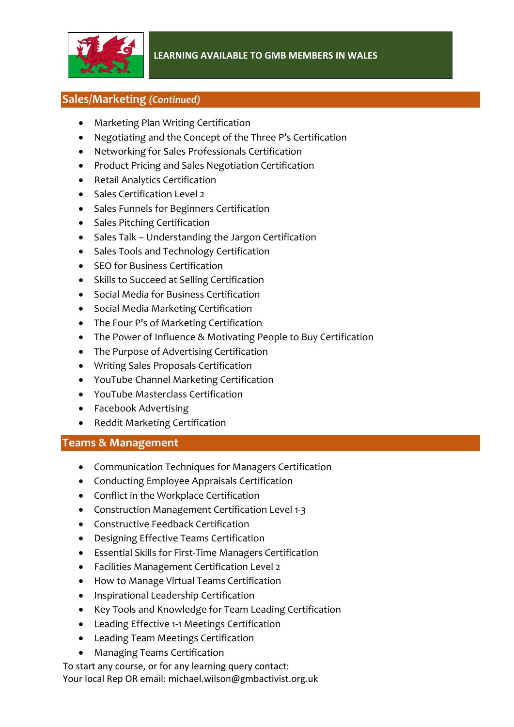

# **Sales/Marketing** *(Continued)*

- Marketing Plan Writing Certification
- Negotiating and the Concept of the Three P's Certification
- Networking for Sales Professionals Certification
- Product Pricing and Sales Negotiation Certification
- Retail Analytics Certification
- Sales Certification Level 2
- Sales Funnels for Beginners Certification
- Sales Pitching Certification
- Sales Talk Understanding the Jargon Certification
- Sales Tools and Technology Certification
- SEO for Business Certification
- Skills to Succeed at Selling Certification
- Social Media for Business Certification
- Social Media Marketing Certification
- The Four P's of Marketing Certification
- The Power of Influence & Motivating People to Buy Certification
- The Purpose of Advertising Certification
- Writing Sales Proposals Certification
- YouTube Channel Marketing Certification
- YouTube Masterclass Certification
- Facebook Advertising
- Reddit Marketing Certification

#### **Teams & Management**

- Communication Techniques for Managers Certification
- Conducting Employee Appraisals Certification
- Conflict in the Workplace Certification
- Construction Management Certification Level 1-3
- Constructive Feedback Certification
- Designing Effective Teams Certification
- Essential Skills for First-Time Managers Certification
- Facilities Management Certification Level 2
- How to Manage Virtual Teams Certification
- Inspirational Leadership Certification
- Key Tools and Knowledge for Team Leading Certification
- Leading Effective 1-1 Meetings Certification
- Leading Team Meetings Certification
- Managing Teams Certification

To start any course, or for any learning query contact: